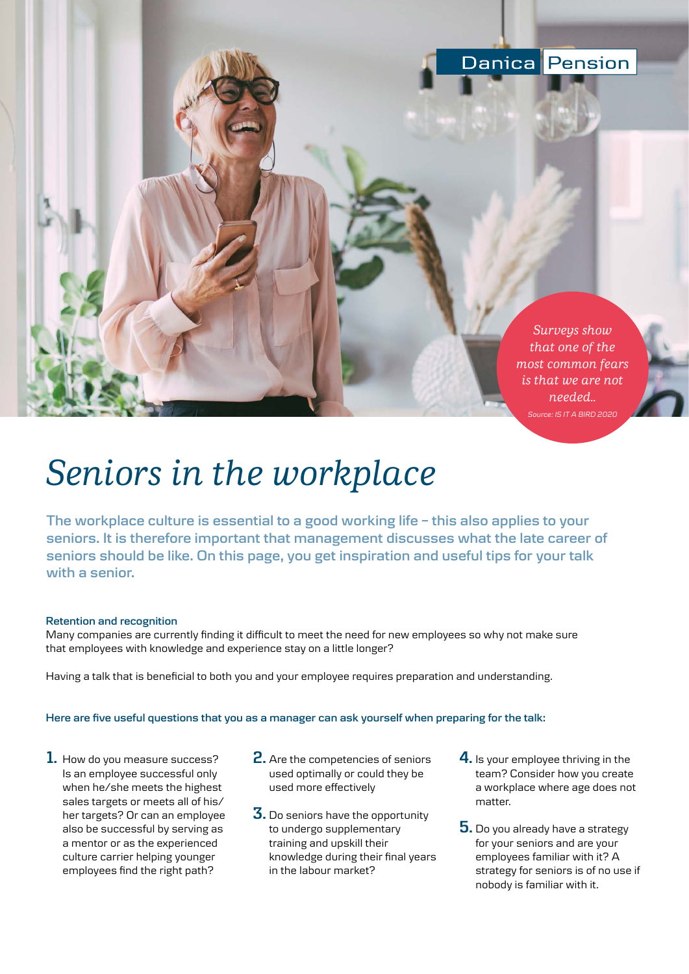

**Pension** 

Danica

# *Seniors in the workplace*

**The workplace culture is essential to a good working life – this also applies to your seniors. It is therefore important that management discusses what the late career of seniors should be like. On this page, you get inspiration and useful tips for your talk with a senior.**

#### **Retention and recognition**

Many companies are currently finding it difficult to meet the need for new employees so why not make sure that employees with knowledge and experience stay on a little longer?

Having a talk that is beneficial to both you and your employee requires preparation and understanding.

## **Here are five useful questions that you as a manager can ask yourself when preparing for the talk:**

- **1.** How do you measure success? Is an employee successful only when he/she meets the highest sales targets or meets all of his/ her targets? Or can an employee also be successful by serving as a mentor or as the experienced culture carrier helping younger employees find the right path?
- **2.** Are the competencies of seniors used optimally or could they be used more effectively
- **3.** Do seniors have the opportunity to undergo supplementary training and upskill their knowledge during their final years in the labour market?
- **4.** Is your employee thriving in the team? Consider how you create a workplace where age does not matter.
- **5.** Do you already have a strategy for your seniors and are your employees familiar with it? A strategy for seniors is of no use if nobody is familiar with it.